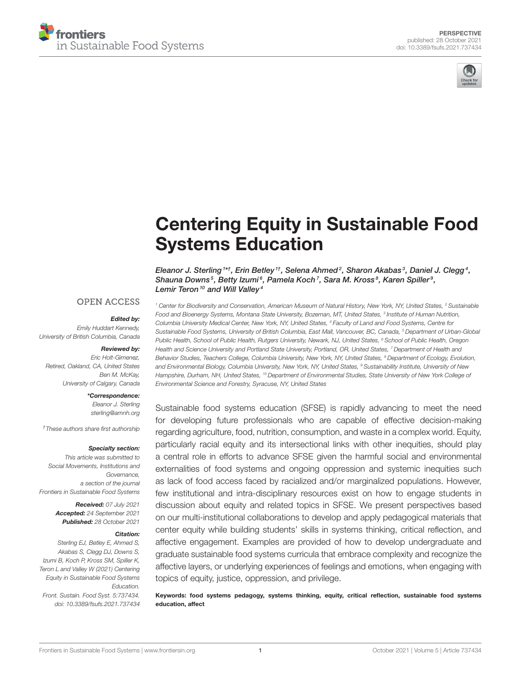



# [Centering Equity in Sustainable Food](https://www.frontiersin.org/articles/10.3389/fsufs.2021.737434/full) Systems Education

Eleanor J. Sterling  $^{\text{1st}},$  Erin Betley  $^{\text{1t}},$  Selena Ahmed $^{\text{2}},$  Sharon Akabas $^{\text{3}},$  Daniel J. Clegg $^{\text{4}},$ Shauna Downs<sup>5</sup>, Betty Izumi<sup>6</sup>, Pamela Koch<sup>7</sup>, Sara M. Kross<sup>8</sup>, Karen Spiller<sup>9</sup>, Lemir Teron<sup>10</sup> and Will Valley<sup>4</sup>

### **OPEN ACCESS**

#### Edited by:

*Emily Huddart Kennedy, University of British Columbia, Canada*

#### Reviewed by:

*Eric Holt-Gimenez, Retired, Oakland, CA, United States Ben M. McKay, University of Calgary, Canada*

#### \*Correspondence:

*Eleanor J. Sterling [sterling@amnh.org](mailto:sterling@amnh.org)*

*†These authors share first authorship*

#### Specialty section:

*This article was submitted to Social Movements, Institutions and Governance, a section of the journal Frontiers in Sustainable Food Systems*

> Received: *07 July 2021* Accepted: *24 September 2021* Published: *28 October 2021*

#### Citation:

*Sterling EJ, Betley E, Ahmed S, Akabas S, Clegg DJ, Downs S, Izumi B, Koch P, Kross SM, Spiller K, Teron L and Valley W (2021) Centering Equity in Sustainable Food Systems Education. Front. Sustain. Food Syst. 5:737434. doi: [10.3389/fsufs.2021.737434](https://doi.org/10.3389/fsufs.2021.737434)* *<sup>1</sup> Center for Biodiversity and Conservation, American Museum of Natural History, New York, NY, United States, <sup>2</sup> Sustainable Food and Bioenergy Systems, Montana State University, Bozeman, MT, United States, <sup>3</sup> Institute of Human Nutrition, Columbia University Medical Center, New York, NY, United States, <sup>4</sup> Faculty of Land and Food Systems, Centre for Sustainable Food Systems, University of British Columbia, East Mall, Vancouver, BC, Canada, <sup>5</sup> Department of Urban-Global Public Health, School of Public Health, Rutgers University, Newark, NJ, United States, <sup>6</sup> School of Public Health, Oregon Health and Science University and Portland State University, Portland, OR, United States, <sup>7</sup> Department of Health and Behavior Studies, Teachers College, Columbia University, New York, NY, United States, <sup>8</sup> Department of Ecology, Evolution, and Environmental Biology, Columbia University, New York, NY, United States, <sup>9</sup> Sustainability Institute, University of New Hampshire, Durham, NH, United States, <sup>10</sup> Department of Environmental Studies, State University of New York College of Environmental Science and Forestry, Syracuse, NY, United States*

Sustainable food systems education (SFSE) is rapidly advancing to meet the need for developing future professionals who are capable of effective decision-making regarding agriculture, food, nutrition, consumption, and waste in a complex world. Equity, particularly racial equity and its intersectional links with other inequities, should play a central role in efforts to advance SFSE given the harmful social and environmental externalities of food systems and ongoing oppression and systemic inequities such as lack of food access faced by racialized and/or marginalized populations. However, few institutional and intra-disciplinary resources exist on how to engage students in discussion about equity and related topics in SFSE. We present perspectives based on our multi-institutional collaborations to develop and apply pedagogical materials that center equity while building students' skills in systems thinking, critical reflection, and affective engagement. Examples are provided of how to develop undergraduate and graduate sustainable food systems curricula that embrace complexity and recognize the affective layers, or underlying experiences of feelings and emotions, when engaging with topics of equity, justice, oppression, and privilege.

Keywords: food systems pedagogy, systems thinking, equity, critical reflection, sustainable food systems education, affect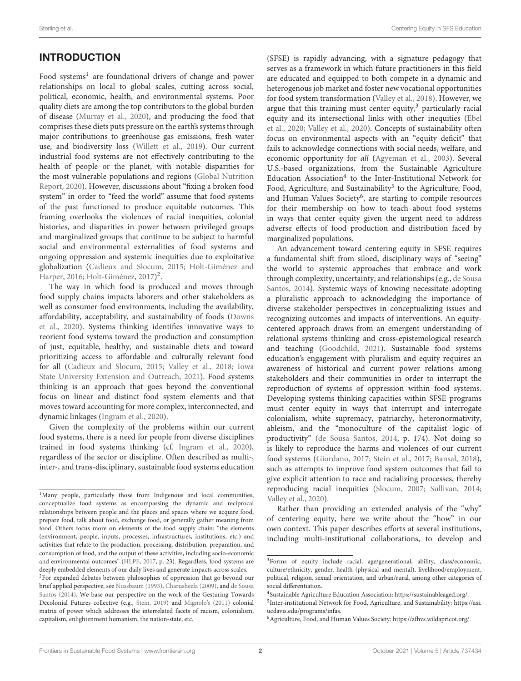# INTRODUCTION

Food systems<sup>[1](#page-1-0)</sup> are foundational drivers of change and power relationships on local to global scales, cutting across social, political, economic, health, and environmental systems. Poor quality diets are among the top contributors to the global burden of disease [\(Murray et al., 2020\)](#page-7-0), and producing the food that comprises these diets puts pressure on the earth's systems through major contributions to greenhouse gas emissions, fresh water use, and biodiversity loss [\(Willett et al., 2019\)](#page-8-0). Our current industrial food systems are not effectively contributing to the health of people or the planet, with notable disparities for the most vulnerable populations and regions (Global Nutrition Report, [2020\)](#page-7-1). However, discussions about "fixing a broken food system" in order to "feed the world" assume that food systems of the past functioned to produce equitable outcomes. This framing overlooks the violences of racial inequities, colonial histories, and disparities in power between privileged groups and marginalized groups that continue to be subject to harmful social and environmental externalities of food systems and ongoing oppression and systemic inequities due to exploitative globalization [\(Cadieux and Slocum, 2015;](#page-7-2) Holt-Giménez and Harper, [2016;](#page-7-3) [Holt-Giménez, 2017\)](#page-7-4)<sup>[2](#page-1-1)</sup>.

The way in which food is produced and moves through food supply chains impacts laborers and other stakeholders as well as consumer food environments, including the availability, affordability, acceptability, and sustainability of foods (Downs et al., [2020\)](#page-7-5). Systems thinking identifies innovative ways to reorient food systems toward the production and consumption of just, equitable, healthy, and sustainable diets and toward prioritizing access to affordable and culturally relevant food for all [\(Cadieux and Slocum, 2015;](#page-7-2) [Valley et al., 2018;](#page-8-1) Iowa State University Extension and Outreach, [2021\)](#page-7-6). Food systems thinking is an approach that goes beyond the conventional focus on linear and distinct food system elements and that moves toward accounting for more complex, interconnected, and dynamic linkages [\(Ingram et al., 2020\)](#page-7-7).

Given the complexity of the problems within our current food systems, there is a need for people from diverse disciplines trained in food systems thinking (cf. [Ingram et al., 2020\)](#page-7-7), regardless of the sector or discipline. Often described as multi-, inter-, and trans-disciplinary, sustainable food systems education (SFSE) is rapidly advancing, with a signature pedagogy that serves as a framework in which future practitioners in this field are educated and equipped to both compete in a dynamic and heterogenous job market and foster new vocational opportunities for food system transformation [\(Valley et al., 2018\)](#page-8-1). However, we argue that this training must center equity, $3$  particularly racial equity and its intersectional links with other inequities (Ebel et al., [2020;](#page-7-13) [Valley et al., 2020\)](#page-8-3). Concepts of sustainability often focus on environmental aspects with an "equity deficit" that fails to acknowledge connections with social needs, welfare, and economic opportunity for all [\(Agyeman et al., 2003\)](#page-7-14). Several U.S.-based organizations, from the Sustainable Agriculture Education Association<sup>[4](#page-1-3)</sup> to the Inter-Institutional Network for Food, Agriculture, and Sustainability<sup>[5](#page-1-4)</sup> to the Agriculture, Food, and Human Values Society<sup>[6](#page-1-5)</sup>, are starting to compile resources for their membership on how to teach about food systems in ways that center equity given the urgent need to address adverse effects of food production and distribution faced by marginalized populations.

An advancement toward centering equity in SFSE requires a fundamental shift from siloed, disciplinary ways of "seeing" the world to systemic approaches that embrace and work through complexity, uncertainty, and relationships (e.g., de Sousa Santos, [2014\)](#page-7-11). Systemic ways of knowing necessitate adopting a pluralistic approach to acknowledging the importance of diverse stakeholder perspectives in conceptualizing issues and recognizing outcomes and impacts of interventions. An equitycentered approach draws from an emergent understanding of relational systems thinking and cross-epistemological research and teaching [\(Goodchild, 2021\)](#page-7-15). Sustainable food systems education's engagement with pluralism and equity requires an awareness of historical and current power relations among stakeholders and their communities in order to interrupt the reproduction of systems of oppression within food systems. Developing systems thinking capacities within SFSE programs must center equity in ways that interrupt and interrogate colonialism, white supremacy, patriarchy, heteronormativity, ableism, and the "monoculture of the capitalist logic of productivity" [\(de Sousa Santos, 2014,](#page-7-11) p. 174). Not doing so is likely to reproduce the harms and violences of our current food systems [\(Giordano, 2017;](#page-7-16) [Stein et al., 2017;](#page-8-4) [Bansal, 2018\)](#page-7-17), such as attempts to improve food system outcomes that fail to give explicit attention to race and racializing processes, thereby reproducing racial inequities [\(Slocum, 2007;](#page-8-5) [Sullivan, 2014;](#page-8-6) [Valley et al., 2020\)](#page-8-3).

Rather than providing an extended analysis of the "why" of centering equity, here we write about the "how" in our own context. This paper describes efforts at several institutions, including multi-institutional collaborations, to develop and

<span id="page-1-0"></span><sup>&</sup>lt;sup>1</sup>Many people, particularly those from Indigenous and local communities, conceptualize food systems as encompassing the dynamic and reciprocal relationships between people and the places and spaces where we acquire food, prepare food, talk about food, exchange food, or generally gather meaning from food. Others focus more on elements of the food supply chain: "the elements (environment, people, inputs, processes, infrastructures, institutions, etc.) and activities that relate to the production, processing, distribution, preparation, and consumption of food, and the output of these activities, including socio-economic and environmental outcomes" [\(HLPE, 2017,](#page-7-8) p. 23). Regardless, food systems are deeply embedded elements of our daily lives and generate impacts across scales.

<span id="page-1-1"></span><sup>2</sup>For expanded debates between philosophies of oppression that go beyond our brief applied perspective, see [Nussbaum \(1993\)](#page-7-9), [Charusheela \(2009\)](#page-7-10), and de Sousa Santos [\(2014\)](#page-7-11). We base our perspective on the work of the Gesturing Towards Decolonial Futures collective (e.g., [Stein, 2019\)](#page-8-2) and [Mignolo's \(2011\)](#page-7-12) colonial matrix of power which addresses the interrelated facets of racism, colonialism, capitalism, enlightenment humanism, the nation-state, etc.

<span id="page-1-2"></span><sup>3</sup>Forms of equity include racial, age/generational, ability, class/economic, culture/ethnicity, gender, health (physical and mental), livelihood/employment, political, religion, sexual orientation, and urban/rural, among other categories of social differentiation.

<span id="page-1-4"></span><span id="page-1-3"></span><sup>4</sup> Sustainable Agriculture Education Association: [https://sustainableaged.org/.](https://sustainableaged.org/)

<sup>5</sup> Inter-institutional Network for Food, Agriculture, and Sustainability: [https://asi.](https://asi.ucdavis.edu/programs/infas) [ucdavis.edu/programs/infas.](https://asi.ucdavis.edu/programs/infas)

<span id="page-1-5"></span><sup>6</sup>Agriculture, Food, and Human Values Society: [https://afhvs.wildapricot.org/.](https://afhvs.wildapricot.org/)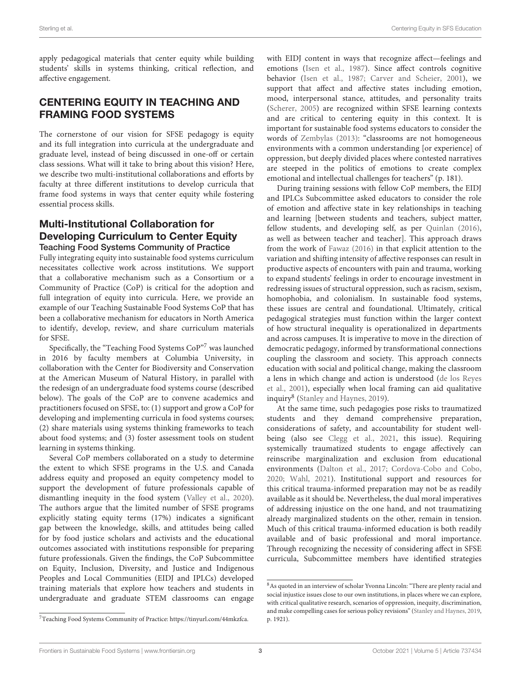apply pedagogical materials that center equity while building students' skills in systems thinking, critical reflection, and affective engagement.

### CENTERING EQUITY IN TEACHING AND FRAMING FOOD SYSTEMS

The cornerstone of our vision for SFSE pedagogy is equity and its full integration into curricula at the undergraduate and graduate level, instead of being discussed in one-off or certain class sessions. What will it take to bring about this vision? Here, we describe two multi-institutional collaborations and efforts by faculty at three different institutions to develop curricula that frame food systems in ways that center equity while fostering essential process skills.

### Multi-Institutional Collaboration for Developing Curriculum to Center Equity Teaching Food Systems Community of Practice

Fully integrating equity into sustainable food systems curriculum necessitates collective work across institutions. We support that a collaborative mechanism such as a Consortium or a Community of Practice (CoP) is critical for the adoption and full integration of equity into curricula. Here, we provide an example of our Teaching Sustainable Food Systems CoP that has been a collaborative mechanism for educators in North America to identify, develop, review, and share curriculum materials for SFSE.

Specifically, the "Teaching Food Systems CoP"[7](#page-2-0) was launched in 2016 by faculty members at Columbia University, in collaboration with the Center for Biodiversity and Conservation at the American Museum of Natural History, in parallel with the redesign of an undergraduate food systems course (described below). The goals of the CoP are to convene academics and practitioners focused on SFSE, to: (1) support and grow a CoP for developing and implementing curricula in food systems courses; (2) share materials using systems thinking frameworks to teach about food systems; and (3) foster assessment tools on student learning in systems thinking.

Several CoP members collaborated on a study to determine the extent to which SFSE programs in the U.S. and Canada address equity and proposed an equity competency model to support the development of future professionals capable of dismantling inequity in the food system [\(Valley et al., 2020\)](#page-8-3). The authors argue that the limited number of SFSE programs explicitly stating equity terms (17%) indicates a significant gap between the knowledge, skills, and attitudes being called for by food justice scholars and activists and the educational outcomes associated with institutions responsible for preparing future professionals. Given the findings, the CoP Subcommittee on Equity, Inclusion, Diversity, and Justice and Indigenous Peoples and Local Communities (EIDJ and IPLCs) developed training materials that explore how teachers and students in undergraduate and graduate STEM classrooms can engage with EIDJ content in ways that recognize affect—feelings and emotions [\(Isen et al., 1987\)](#page-7-18). Since affect controls cognitive behavior [\(Isen et al., 1987;](#page-7-18) [Carver and Scheier, 2001\)](#page-7-19), we support that affect and affective states including emotion, mood, interpersonal stance, attitudes, and personality traits [\(Scherer, 2005\)](#page-8-7) are recognized within SFSE learning contexts and are critical to centering equity in this context. It is important for sustainable food systems educators to consider the words of [Zembylas \(2013\)](#page-8-8): "classrooms are not homogeneous environments with a common understanding [or experience] of oppression, but deeply divided places where contested narratives are steeped in the politics of emotions to create complex emotional and intellectual challenges for teachers" (p. 181).

During training sessions with fellow CoP members, the EIDJ and IPLCs Subcommittee asked educators to consider the role of emotion and affective state in key relationships in teaching and learning [between students and teachers, subject matter, fellow students, and developing self, as per [Quinlan \(2016\)](#page-8-9), as well as between teacher and teacher]. This approach draws from the work of [Fawaz \(2016\)](#page-7-20) in that explicit attention to the variation and shifting intensity of affective responses can result in productive aspects of encounters with pain and trauma, working to expand students' feelings in order to encourage investment in redressing issues of structural oppression, such as racism, sexism, homophobia, and colonialism. In sustainable food systems, these issues are central and foundational. Ultimately, critical pedagogical strategies must function within the larger context of how structural inequality is operationalized in departments and across campuses. It is imperative to move in the direction of democratic pedagogy, informed by transformational connections coupling the classroom and society. This approach connects education with social and political change, making the classroom a lens in which change and action is understood (de los Reyes et al., [2001\)](#page-7-21), especially when local framing can aid qualitative inquiry<sup>[8](#page-2-1)</sup> [\(Stanley and Haynes, 2019\)](#page-8-10).

At the same time, such pedagogies pose risks to traumatized students and they demand comprehensive preparation, considerations of safety, and accountability for student wellbeing (also see [Clegg et al., 2021,](#page-7-22) this issue). Requiring systemically traumatized students to engage affectively can reinscribe marginalization and exclusion from educational environments [\(Dalton et al., 2017;](#page-7-23) [Cordova-Cobo and Cobo,](#page-7-24) [2020;](#page-7-24) [Wahl, 2021\)](#page-8-11). Institutional support and resources for this critical trauma-informed preparation may not be as readily available as it should be. Nevertheless, the dual moral imperatives of addressing injustice on the one hand, and not traumatizing already marginalized students on the other, remain in tension. Much of this critical trauma-informed education is both readily available and of basic professional and moral importance. Through recognizing the necessity of considering affect in SFSE curricula, Subcommittee members have identified strategies

<span id="page-2-0"></span><sup>7</sup>Teaching Food Systems Community of Practice: [https://tinyurl.com/44mkzfca.](https://tinyurl.com/44mkzfca)

<span id="page-2-1"></span><sup>8</sup>As quoted in an interview of scholar Yvonna Lincoln: "There are plenty racial and social injustice issues close to our own institutions, in places where we can explore, with critical qualitative research, scenarios of oppression, inequity, discrimination, and make compelling cases for serious policy revisions" [\(Stanley and Haynes, 2019,](#page-8-10) p. 1921).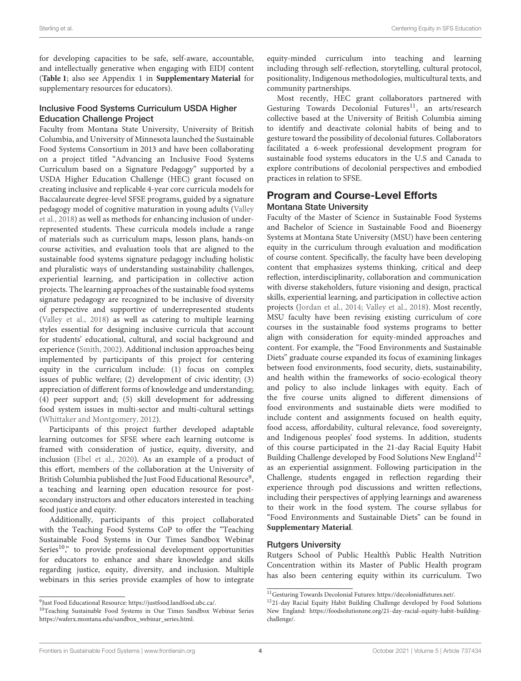for developing capacities to be safe, self-aware, accountable, and intellectually generative when engaging with EIDJ content (**[Table 1](#page-4-0)**; also see Appendix 1 in **[Supplementary Material](#page-7-25)** for supplementary resources for educators).

### Inclusive Food Systems Curriculum USDA Higher Education Challenge Project

Faculty from Montana State University, University of British Columbia, and University of Minnesota launched the Sustainable Food Systems Consortium in 2013 and have been collaborating on a project titled "Advancing an Inclusive Food Systems Curriculum based on a Signature Pedagogy" supported by a USDA Higher Education Challenge (HEC) grant focused on creating inclusive and replicable 4-year core curricula models for Baccalaureate degree-level SFSE programs, guided by a signature pedagogy model of cognitive maturation in young adults (Valley et al., [2018\)](#page-8-1) as well as methods for enhancing inclusion of underrepresented students. These curricula models include a range of materials such as curriculum maps, lesson plans, hands-on course activities, and evaluation tools that are aligned to the sustainable food systems signature pedagogy including holistic and pluralistic ways of understanding sustainability challenges, experiential learning, and participation in collective action projects. The learning approaches of the sustainable food systems signature pedagogy are recognized to be inclusive of diversity of perspective and supportive of underrepresented students [\(Valley et al., 2018\)](#page-8-1) as well as catering to multiple learning styles essential for designing inclusive curricula that account for students' educational, cultural, and social background and experience [\(Smith, 2002\)](#page-8-12). Additional inclusion approaches being implemented by participants of this project for centering equity in the curriculum include: (1) focus on complex issues of public welfare; (2) development of civic identity; (3) appreciation of different forms of knowledge and understanding; (4) peer support and; (5) skill development for addressing food system issues in multi-sector and multi-cultural settings [\(Whittaker and Montgomery, 2012\)](#page-8-13).

Participants of this project further developed adaptable learning outcomes for SFSE where each learning outcome is framed with consideration of justice, equity, diversity, and inclusion [\(Ebel et al., 2020\)](#page-7-13). As an example of a product of this effort, members of the collaboration at the University of British Columbia published the Just Food Educational Resource[9](#page-3-0), a teaching and learning open education resource for postsecondary instructors and other educators interested in teaching food justice and equity.

Additionally, participants of this project collaborated with the Teaching Food Systems CoP to offer the "Teaching Sustainable Food Systems in Our Times Sandbox Webinar Series<sup>[10](#page-3-1)</sup>," to provide professional development opportunities for educators to enhance and share knowledge and skills regarding justice, equity, diversity, and inclusion. Multiple webinars in this series provide examples of how to integrate equity-minded curriculum into teaching and learning including through self-reflection, storytelling, cultural protocol, positionality, Indigenous methodologies, multicultural texts, and community partnerships.

Most recently, HEC grant collaborators partnered with Gesturing Towards Decolonial Futures<sup>[11](#page-3-2)</sup>, an arts/research collective based at the University of British Columbia aiming to identify and deactivate colonial habits of being and to gesture toward the possibility of decolonial futures. Collaborators facilitated a 6-week professional development program for sustainable food systems educators in the U.S and Canada to explore contributions of decolonial perspectives and embodied practices in relation to SFSE.

### Program and Course-Level Efforts Montana State University

Faculty of the Master of Science in Sustainable Food Systems and Bachelor of Science in Sustainable Food and Bioenergy Systems at Montana State University (MSU) have been centering equity in the curriculum through evaluation and modification of course content. Specifically, the faculty have been developing content that emphasizes systems thinking, critical and deep reflection, interdisciplinarity, collaboration and communication with diverse stakeholders, future visioning and design, practical skills, experiential learning, and participation in collective action projects [\(Jordan et al., 2014;](#page-7-26) [Valley et al., 2018\)](#page-8-1). Most recently, MSU faculty have been revising existing curriculum of core courses in the sustainable food systems programs to better align with consideration for equity-minded approaches and content. For example, the "Food Environments and Sustainable Diets" graduate course expanded its focus of examining linkages between food environments, food security, diets, sustainability, and health within the frameworks of socio-ecological theory and policy to also include linkages with equity. Each of the five course units aligned to different dimensions of food environments and sustainable diets were modified to include content and assignments focused on health equity, food access, affordability, cultural relevance, food sovereignty, and Indigenous peoples' food systems. In addition, students of this course participated in the 21-day Racial Equity Habit Building Challenge developed by Food Solutions New England<sup>[12](#page-3-3)</sup> as an experiential assignment. Following participation in the Challenge, students engaged in reflection regarding their experience through pod discussions and written reflections, including their perspectives of applying learnings and awareness to their work in the food system. The course syllabus for "Food Environments and Sustainable Diets" can be found in **[Supplementary Material](#page-7-25)**.

### Rutgers University

Rutgers School of Public Health's Public Health Nutrition Concentration within its Master of Public Health program has also been centering equity within its curriculum. Two

<span id="page-3-0"></span><sup>9</sup> Just Food Educational Resource: [https://justfood.landfood.ubc.ca/.](https://justfood.landfood.ubc.ca/)

<span id="page-3-1"></span><sup>10</sup>Teaching Sustainable Food Systems in Our Times Sandbox Webinar Series [https://waferx.montana.edu/sandbox\\_webinar\\_series.html.](https://waferx.montana.edu/sandbox_webinar_series.html)

<span id="page-3-2"></span><sup>11</sup>Gesturing Towards Decolonial Futures: [https://decolonialfutures.net/.](https://decolonialfutures.net/)

<span id="page-3-3"></span><sup>12</sup>21-day Racial Equity Habit Building Challenge developed by Food Solutions New England: [https://foodsolutionsne.org/21-day-racial-equity-habit-building](https://foodsolutionsne.org/21-day-racial-equity-habit-building-challenge/)[challenge/.](https://foodsolutionsne.org/21-day-racial-equity-habit-building-challenge/)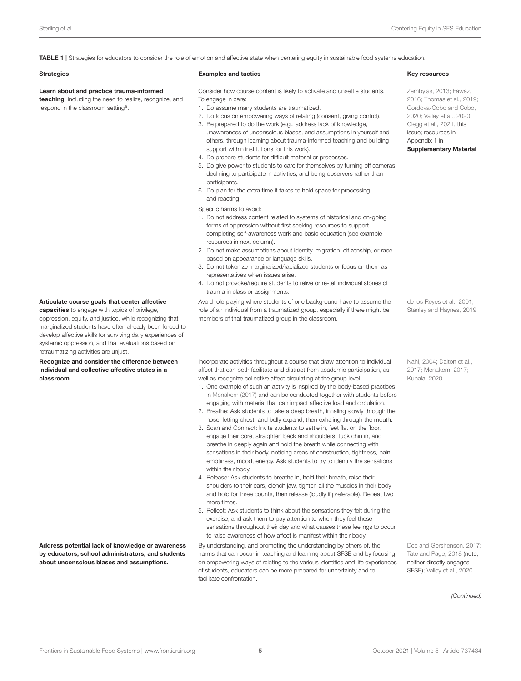<span id="page-4-0"></span>TABLE 1 | Strategies for educators to consider the role of emotion and affective state when centering equity in sustainable food systems education.

| <b>Strategies</b>                                                                                                                                                                                                                                                                                                                                                                          | <b>Examples and tactics</b>                                                                                                                                                                                                                                                                                                                                                                                                                                                                                                                                                                                                                                                                                                                                                                                                                                                                                                                                                                                                                                                                                                                                                                                                                                                                                                                                                                                                                                                                                                                                                                  | <b>Key resources</b>                                                                                                                                                                                              |
|--------------------------------------------------------------------------------------------------------------------------------------------------------------------------------------------------------------------------------------------------------------------------------------------------------------------------------------------------------------------------------------------|----------------------------------------------------------------------------------------------------------------------------------------------------------------------------------------------------------------------------------------------------------------------------------------------------------------------------------------------------------------------------------------------------------------------------------------------------------------------------------------------------------------------------------------------------------------------------------------------------------------------------------------------------------------------------------------------------------------------------------------------------------------------------------------------------------------------------------------------------------------------------------------------------------------------------------------------------------------------------------------------------------------------------------------------------------------------------------------------------------------------------------------------------------------------------------------------------------------------------------------------------------------------------------------------------------------------------------------------------------------------------------------------------------------------------------------------------------------------------------------------------------------------------------------------------------------------------------------------|-------------------------------------------------------------------------------------------------------------------------------------------------------------------------------------------------------------------|
| Learn about and practice trauma-informed<br><b>teaching</b> , including the need to realize, recognize, and<br>respond in the classroom setting <sup>a</sup> .                                                                                                                                                                                                                             | Consider how course content is likely to activate and unsettle students.<br>To engage in care:<br>1. Do assume many students are traumatized.<br>2. Do focus on empowering ways of relating (consent, giving control).<br>3. Be prepared to do the work (e.g., address lack of knowledge,<br>unawareness of unconscious biases, and assumptions in yourself and<br>others, through learning about trauma-informed teaching and building<br>support within institutions for this work).<br>4. Do prepare students for difficult material or processes.<br>5. Do give power to students to care for themselves by turning off cameras,<br>declining to participate in activities, and being observers rather than<br>participants.<br>6. Do plan for the extra time it takes to hold space for processing<br>and reacting.<br>Specific harms to avoid:<br>1. Do not address content related to systems of historical and on-going<br>forms of oppression without first seeking resources to support<br>completing self-awareness work and basic education (see example<br>resources in next column).<br>2. Do not make assumptions about identity, migration, citizenship, or race<br>based on appearance or language skills.<br>3. Do not tokenize marginalized/racialized students or focus on them as<br>representatives when issues arise.<br>4. Do not provoke/require students to relive or re-tell individual stories of                                                                                                                                                                | Zembylas, 2013; Fawaz,<br>2016; Thomas et al., 2019;<br>Cordova-Cobo and Cobo,<br>2020; Valley et al., 2020;<br>Clegg et al., 2021, this<br>issue; resources in<br>Appendix 1 in<br><b>Supplementary Material</b> |
| Articulate course goals that center affective<br><b>capacities</b> to engage with topics of privilege,<br>oppression, equity, and justice, while recognizing that<br>marginalized students have often already been forced to<br>develop affective skills for surviving daily experiences of<br>systemic oppression, and that evaluations based on<br>retraumatizing activities are unjust. | trauma in class or assignments.<br>Avoid role playing where students of one background have to assume the<br>role of an individual from a traumatized group, especially if there might be<br>members of that traumatized group in the classroom.                                                                                                                                                                                                                                                                                                                                                                                                                                                                                                                                                                                                                                                                                                                                                                                                                                                                                                                                                                                                                                                                                                                                                                                                                                                                                                                                             | de los Reyes et al., 2001;<br>Stanley and Haynes, 2019                                                                                                                                                            |
| Recognize and consider the difference between<br>individual and collective affective states in a<br>classroom.                                                                                                                                                                                                                                                                             | Incorporate activities throughout a course that draw attention to individual<br>affect that can both facilitate and distract from academic participation, as<br>well as recognize collective affect circulating at the group level.<br>1. One example of such an activity is inspired by the body-based practices<br>in Menakem (2017) and can be conducted together with students before<br>engaging with material that can impact affective load and circulation.<br>2. Breathe: Ask students to take a deep breath, inhaling slowly through the<br>nose, letting chest, and belly expand, then exhaling through the mouth.<br>3. Scan and Connect: Invite students to settle in, feet flat on the floor,<br>engage their core, straighten back and shoulders, tuck chin in, and<br>breathe in deeply again and hold the breath while connecting with<br>sensations in their body, noticing areas of construction, tightness, pain,<br>emptiness, mood, energy. Ask students to try to identify the sensations<br>within their body.<br>4. Release: Ask students to breathe in, hold their breath, raise their<br>shoulders to their ears, clench jaw, tighten all the muscles in their body<br>and hold for three counts, then release (loudly if preferable). Repeat two<br>more times.<br>5. Reflect: Ask students to think about the sensations they felt during the<br>exercise, and ask them to pay attention to when they feel these<br>sensations throughout their day and what causes these feelings to occur,<br>to raise awareness of how affect is manifest within their body. | Nahl, 2004; Dalton et al.,<br>2017; Menakem, 2017;<br>Kubala, 2020                                                                                                                                                |
| Address potential lack of knowledge or awareness<br>by educators, school administrators, and students<br>about unconscious biases and assumptions.                                                                                                                                                                                                                                         | By understanding, and promoting the understanding by others of, the<br>harms that can occur in teaching and learning about SFSE and by focusing<br>on empowering ways of relating to the various identities and life experiences<br>of students, educators can be more prepared for uncertainty and to<br>facilitate confrontation.                                                                                                                                                                                                                                                                                                                                                                                                                                                                                                                                                                                                                                                                                                                                                                                                                                                                                                                                                                                                                                                                                                                                                                                                                                                          | Dee and Gershenson, 2017;<br>Tate and Page, 2018 (note,<br>neither directly engages<br>SFSE); Valley et al., 2020                                                                                                 |

*(Continued)*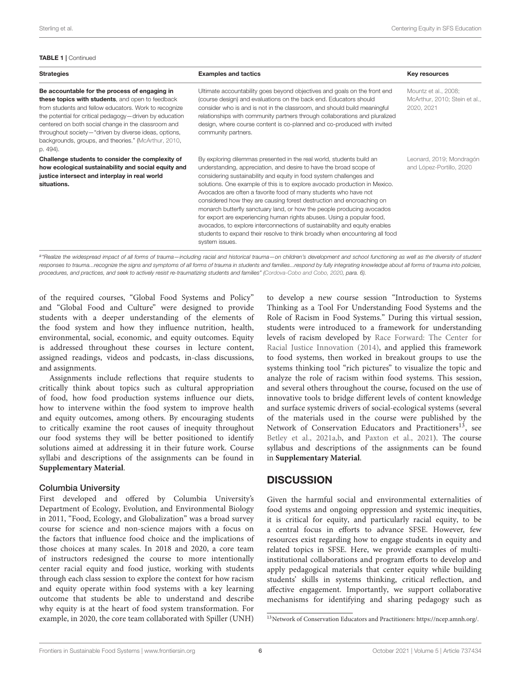### TABLE 1 | Continued

| <b>Strategies</b>                                                                                                                                                                                                                                                                                                                                                                                         | <b>Examples and tactics</b>                                                                                                                                                                                                                                                                                                                                                                                                                                                                                                                                                                                                                                                                                                                                                      | Key resources                                                       |
|-----------------------------------------------------------------------------------------------------------------------------------------------------------------------------------------------------------------------------------------------------------------------------------------------------------------------------------------------------------------------------------------------------------|----------------------------------------------------------------------------------------------------------------------------------------------------------------------------------------------------------------------------------------------------------------------------------------------------------------------------------------------------------------------------------------------------------------------------------------------------------------------------------------------------------------------------------------------------------------------------------------------------------------------------------------------------------------------------------------------------------------------------------------------------------------------------------|---------------------------------------------------------------------|
| Be accountable for the process of engaging in<br>these topics with students, and open to feedback<br>from students and fellow educators. Work to recognize<br>the potential for critical pedagogy-driven by education<br>centered on both social change in the classroom and<br>throughout society-"driven by diverse ideas, options,<br>backgrounds, groups, and theories." (McArthur, 2010,<br>p. 494). | Ultimate accountability goes beyond objectives and goals on the front end<br>(course design) and evaluations on the back end. Educators should<br>consider who is and is not in the classroom, and should build meaningful<br>relationships with community partners through collaborations and pluralized<br>design, where course content is co-planned and co-produced with invited<br>community partners.                                                                                                                                                                                                                                                                                                                                                                      | Mountz et al., 2008;<br>McArthur, 2010; Stein et al.,<br>2020, 2021 |
| Challenge students to consider the complexity of<br>how ecological sustainability and social equity and<br>justice intersect and interplay in real world<br>situations.                                                                                                                                                                                                                                   | By exploring dilemmas presented in the real world, students build an<br>understanding, appreciation, and desire to have the broad scope of<br>considering sustainability and equity in food system challenges and<br>solutions. One example of this is to explore avocado production in Mexico.<br>Avocados are often a favorite food of many students who have not<br>considered how they are causing forest destruction and encroaching on<br>monarch butterfly sanctuary land, or how the people producing avocados<br>for export are experiencing human rights abuses. Using a popular food,<br>avocados, to explore interconnections of sustainability and equity enables<br>students to expand their resolve to think broadly when encountering all food<br>system issues. | Leonard, 2019; Mondragón<br>and López-Portillo, 2020                |

a "Realize the widespread impact of all forms of trauma—including racial and historical trauma—on children's development and school functioning as well as the diversity of student *responses to trauma...recognize the signs and symptoms of all forms of trauma in students and families...respond by fully integrating knowledge about all forms of trauma into policies, procedures, and practices, and seek to actively resist re-traumatizing students and families" [\(Cordova-Cobo and Cobo, 2020,](#page-7-24) para. 6).*

of the required courses, "Global Food Systems and Policy" and "Global Food and Culture" were designed to provide students with a deeper understanding of the elements of the food system and how they influence nutrition, health, environmental, social, economic, and equity outcomes. Equity is addressed throughout these courses in lecture content, assigned readings, videos and podcasts, in-class discussions, and assignments.

Assignments include reflections that require students to critically think about topics such as cultural appropriation of food, how food production systems influence our diets, how to intervene within the food system to improve health and equity outcomes, among others. By encouraging students to critically examine the root causes of inequity throughout our food systems they will be better positioned to identify solutions aimed at addressing it in their future work. Course syllabi and descriptions of the assignments can be found in **[Supplementary Material](#page-7-25)**.

### Columbia University

First developed and offered by Columbia University's Department of Ecology, Evolution, and Environmental Biology in 2011, "Food, Ecology, and Globalization" was a broad survey course for science and non-science majors with a focus on the factors that influence food choice and the implications of those choices at many scales. In 2018 and 2020, a core team of instructors redesigned the course to more intentionally center racial equity and food justice, working with students through each class session to explore the context for how racism and equity operate within food systems with a key learning outcome that students be able to understand and describe why equity is at the heart of food system transformation. For example, in 2020, the core team collaborated with Spiller (UNH) to develop a new course session "Introduction to Systems Thinking as a Tool For Understanding Food Systems and the Role of Racism in Food Systems." During this virtual session, students were introduced to a framework for understanding levels of racism developed by Race Forward: The Center for Racial Justice Innovation [\(2014\)](#page-8-18), and applied this framework to food systems, then worked in breakout groups to use the systems thinking tool "rich pictures" to visualize the topic and analyze the role of racism within food systems. This session, and several others throughout the course, focused on the use of innovative tools to bridge different levels of content knowledge and surface systemic drivers of social-ecological systems (several of the materials used in the course were published by the Network of Conservation Educators and Practitioners<sup>[13](#page-5-0)</sup>, see [Betley et al., 2021a,](#page-7-35)[b,](#page-7-36) and [Paxton et al., 2021\)](#page-7-37). The course syllabus and descriptions of the assignments can be found in **[Supplementary Material](#page-7-25)**.

### **DISCUSSION**

Given the harmful social and environmental externalities of food systems and ongoing oppression and systemic inequities, it is critical for equity, and particularly racial equity, to be a central focus in efforts to advance SFSE. However, few resources exist regarding how to engage students in equity and related topics in SFSE. Here, we provide examples of multiinstitutional collaborations and program efforts to develop and apply pedagogical materials that center equity while building students' skills in systems thinking, critical reflection, and affective engagement. Importantly, we support collaborative mechanisms for identifying and sharing pedagogy such as

<span id="page-5-0"></span><sup>13</sup>Network of Conservation Educators and Practitioners: [https://ncep.amnh.org/.](https://ncep.amnh.org/)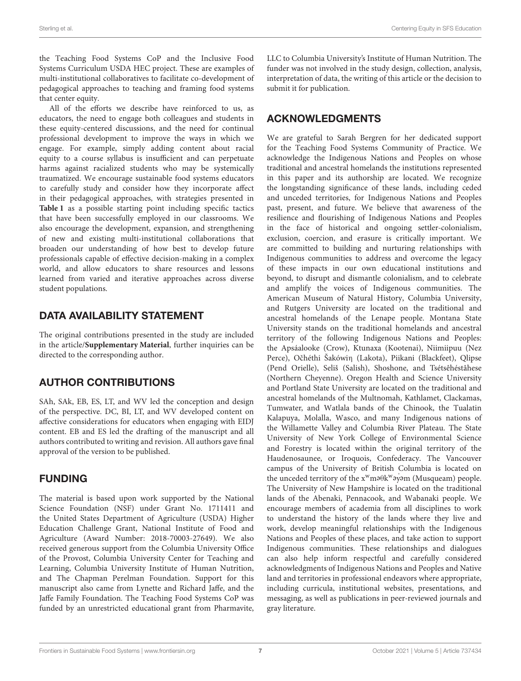the Teaching Food Systems CoP and the Inclusive Food Systems Curriculum USDA HEC project. These are examples of multi-institutional collaboratives to facilitate co-development of pedagogical approaches to teaching and framing food systems that center equity.

All of the efforts we describe have reinforced to us, as educators, the need to engage both colleagues and students in these equity-centered discussions, and the need for continual professional development to improve the ways in which we engage. For example, simply adding content about racial equity to a course syllabus is insufficient and can perpetuate harms against racialized students who may be systemically traumatized. We encourage sustainable food systems educators to carefully study and consider how they incorporate affect in their pedagogical approaches, with strategies presented in **[Table 1](#page-4-0)** as a possible starting point including specific tactics that have been successfully employed in our classrooms. We also encourage the development, expansion, and strengthening of new and existing multi-institutional collaborations that broaden our understanding of how best to develop future professionals capable of effective decision-making in a complex world, and allow educators to share resources and lessons learned from varied and iterative approaches across diverse student populations.

# DATA AVAILABILITY STATEMENT

The original contributions presented in the study are included in the article/**[Supplementary Material](#page-7-25)**, further inquiries can be directed to the corresponding author.

# AUTHOR CONTRIBUTIONS

SAh, SAk, EB, ES, LT, and WV led the conception and design of the perspective. DC, BI, LT, and WV developed content on affective considerations for educators when engaging with EIDJ content. EB and ES led the drafting of the manuscript and all authors contributed to writing and revision. All authors gave final approval of the version to be published.

# FUNDING

The material is based upon work supported by the National Science Foundation (NSF) under Grant No. 1711411 and the United States Department of Agriculture (USDA) Higher Education Challenge Grant, National Institute of Food and Agriculture (Award Number: 2018-70003-27649). We also received generous support from the Columbia University Office of the Provost, Columbia University Center for Teaching and Learning, Columbia University Institute of Human Nutrition, and The Chapman Perelman Foundation. Support for this manuscript also came from Lynette and Richard Jaffe, and the Jaffe Family Foundation. The Teaching Food Systems CoP was funded by an unrestricted educational grant from Pharmavite, LLC to Columbia University's Institute of Human Nutrition. The funder was not involved in the study design, collection, analysis, interpretation of data, the writing of this article or the decision to submit it for publication.

# ACKNOWLEDGMENTS

We are grateful to Sarah Bergren for her dedicated support for the Teaching Food Systems Community of Practice. We acknowledge the Indigenous Nations and Peoples on whose traditional and ancestral homelands the institutions represented in this paper and its authorship are located. We recognize the longstanding significance of these lands, including ceded and unceded territories, for Indigenous Nations and Peoples past, present, and future. We believe that awareness of the resilience and flourishing of Indigenous Nations and Peoples in the face of historical and ongoing settler-colonialism, exclusion, coercion, and erasure is critically important. We are committed to building and nurturing relationships with Indigenous communities to address and overcome the legacy of these impacts in our own educational institutions and beyond, to disrupt and dismantle colonialism, and to celebrate and amplify the voices of Indigenous communities. The American Museum of Natural History, Columbia University, and Rutgers University are located on the traditional and ancestral homelands of the Lenape people. Montana State University stands on the traditional homelands and ancestral territory of the following Indigenous Nations and Peoples: the Apsáalooke (Crow), Ktunaxa (Kootenai), Niimiipuu (Nez Perce), Očhéthi Šakówin (Lakota), Piikani (Blackfeet), Qlipse (Pend Orielle), Seliš (Salish), Shoshone, and Tsétsêhéstâhese (Northern Cheyenne). Oregon Health and Science University and Portland State University are located on the traditional and ancestral homelands of the Multnomah, Kathlamet, Clackamas, Tumwater, and Watlala bands of the Chinook, the Tualatin Kalapuya, Molalla, Wasco, and many Indigenous nations of the Willamette Valley and Columbia River Plateau. The State University of New York College of Environmental Science and Forestry is located within the original territory of the Haudenosaunee, or Iroquois, Confederacy. The Vancouver campus of the University of British Columbia is located on the unceded territory of the x<sup>w</sup>maθk<sup>w</sup>ayam (Musqueam) people. The University of New Hampshire is located on the traditional lands of the Abenaki, Pennacook, and Wabanaki people. We encourage members of academia from all disciplines to work to understand the history of the lands where they live and work, develop meaningful relationships with the Indigenous Nations and Peoples of these places, and take action to support Indigenous communities. These relationships and dialogues can also help inform respectful and carefully considered acknowledgments of Indigenous Nations and Peoples and Native land and territories in professional endeavors where appropriate, including curricula, institutional websites, presentations, and messaging, as well as publications in peer-reviewed journals and gray literature.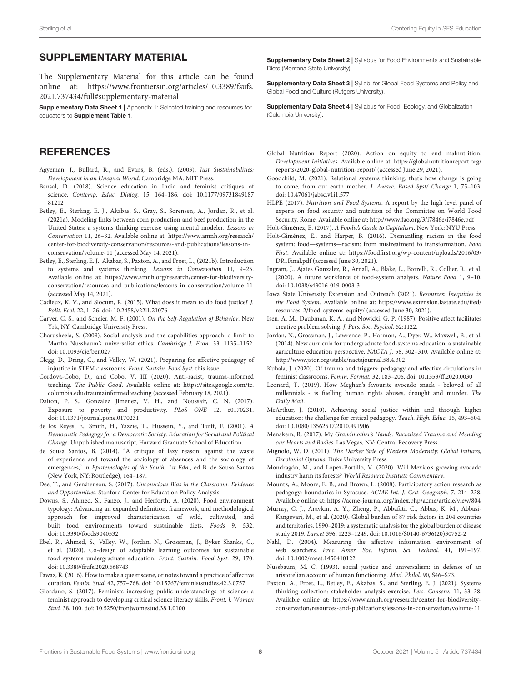### SUPPLEMENTARY MATERIAL

<span id="page-7-25"></span>The Supplementary Material for this article can be found [online at: https://www.frontiersin.org/articles/10.3389/fsufs.](https://www.frontiersin.org/articles/10.3389/fsufs.2021.737434/full#supplementary-material) 2021.737434/full#supplementary-material

Supplementary Data Sheet 1 | Appendix 1: Selected training and resources for educators to [Supplement Table 1](#page-7-25).

### **REFERENCES**

- <span id="page-7-14"></span>Agyeman, J., Bullard, R., and Evans, B. (eds.). (2003). Just Sustainabilities: Development in an Unequal World. Cambridge MA: MIT Press.
- <span id="page-7-17"></span>Bansal, D. (2018). Science education in India and feminist critiques of science. Contemp. Educ. Dialog. [15, 164–186. doi: 10.1177/09731849187](https://doi.org/10.1177/0973184918781212) 81212
- <span id="page-7-35"></span>Betley, E., Sterling, E. J., Akabas, S., Gray, S., Sorensen, A., Jordan, R., et al. (2021a). Modeling links between corn production and beef production in the United States: a systems thinking exercise using mental modeler. Lessons in Conservation 11, 26–32. Available online at: [https://www.amnh.org/research/](https://www.amnh.org/research/center-for-biodiversity-conservation/resources-and-publications/lessons-in-conservation/volume-11) [center-for-biodiversity-conservation/resources-and-publications/lessons-in](https://www.amnh.org/research/center-for-biodiversity-conservation/resources-and-publications/lessons-in-conservation/volume-11)[conservation/volume-11](https://www.amnh.org/research/center-for-biodiversity-conservation/resources-and-publications/lessons-in-conservation/volume-11) (accessed May 14, 2021).
- <span id="page-7-36"></span>Betley, E., Sterling, E. J., Akabas, S., Paxton, A., and Frost, L., (2021b). Introduction to systems and systems thinking. Lessons in Conservation 11, 9–25. Available online at: [https://www.amnh.org/research/center-for-biodiversity](https://www.amnh.org/research/center-for-biodiversity-conservation/resources-and-publications/lessons-in-conservation/volume-11)[conservation/resources-and-publications/lessons-in-conservation/volume-11](https://www.amnh.org/research/center-for-biodiversity-conservation/resources-and-publications/lessons-in-conservation/volume-11) (accessed May 14, 2021).
- <span id="page-7-2"></span>Cadieux, K. V., and Slocum, R. (2015). What does it mean to do food justice? J. Polit. Ecol. 22, 1–26. doi: [10.2458/v22i1.21076](https://doi.org/10.2458/v22i1.21076)
- <span id="page-7-19"></span>Carver, C. S., and Scheier, M. F. (2001). On the Self-Regulation of Behavior. New Yrk, NY: Cambridge University Press.
- <span id="page-7-10"></span>Charusheela, S. (2009). Social analysis and the capabilities approach: a limit to Martha Nussbaum's universalist ethics. Cambridge J. Econ. 33, 1135–1152. doi: [10.1093/cje/ben027](https://doi.org/10.1093/cje/ben027)
- <span id="page-7-22"></span>Clegg, D., Dring, C., and Valley, W. (2021). Preparing for affective pedagogy of injustice in STEM classrooms. Front. Sustain. Food Syst. this issue.
- <span id="page-7-24"></span>Cordova-Cobo, D., and Cobo, V. III (2020). Anti-racist, trauma-informed teaching. The Public Good. Available online at: [https://sites.google.com/tc.](https://sites.google.com/tc.columbia.edu/traumainformedteaching) [columbia.edu/traumainformedteaching](https://sites.google.com/tc.columbia.edu/traumainformedteaching) (accessed February 18, 2021).
- <span id="page-7-23"></span>Dalton, P. S., Gonzalez Jimenez, V. H., and Noussair, C. N. (2017). Exposure to poverty and productivity. PLoS ONE 12, e0170231. doi: [10.1371/journal.pone.0170231](https://doi.org/10.1371/journal.pone.0170231)
- <span id="page-7-21"></span>de los Reyes, E., Smith, H., Yazzie, T., Hussein, Y., and Tuitt, F. (2001). A Democratic Pedagogy for a Democratic Society: Education for Social and Political Change. Unpublished manuscript, Harvard Graduate School of Education.
- <span id="page-7-11"></span>de Sousa Santos, B. (2014). "A critique of lazy reason: against the waste of experience and toward the sociology of absences and the sociology of emergences," in Epistemologies of the South, 1st Edn., ed B. de Sousa Santos (New York, NY: Routledge), 164–187.
- <span id="page-7-30"></span>Dee, T., and Gershenson, S. (2017). Unconscious Bias in the Classroom: Evidence and Opportunities. Stanford Center for Education Policy Analysis.
- <span id="page-7-5"></span>Downs, S., Ahmed, S., Fanzo, J., and Herforth, A. (2020). Food environment typology: Advancing an expanded definition, framework, and methodological approach for improved characterization of wild, cultivated, and built food environments toward sustainable diets. Foods 9, 532. doi: [10.3390/foods9040532](https://doi.org/10.3390/foods9040532)
- <span id="page-7-13"></span>Ebel, R., Ahmed, S., Valley, W., Jordan, N., Grossman, J., Byker Shanks, C., et al. (2020). Co-design of adaptable learning outcomes for sustainable food systems undergraduate education. Front. Sustain. Food Syst. 29, 170. doi: [10.3389/fsufs.2020.568743](https://doi.org/10.3389/fsufs.2020.568743)
- <span id="page-7-20"></span>Fawaz, R. (2016). How to make a queer scene, or notes toward a practice of affective curation. Femin. Stud. 42, 757–768. doi: [10.15767/feministstudies.42.3.0757](https://doi.org/10.15767/feministstudies.42.3.0757)
- <span id="page-7-16"></span>Giordano, S. (2017). Feminists increasing public understandings of science: a feminist approach to developing critical science literacy skills. Front. J. Women Stud. 38, 100. doi: [10.5250/fronjwomestud.38.1.0100](https://doi.org/10.5250/fronjwomestud.38.1.0100)

Supplementary Data Sheet 2 | Syllabus for Food Environments and Sustainable Diets (Montana State University).

Supplementary Data Sheet 3 | Syllabi for Global Food Systems and Policy and Global Food and Culture (Rutgers University).

Supplementary Data Sheet 4 | Syllabus for Food, Ecology, and Globalization (Columbia University).

- <span id="page-7-1"></span>Global Nutrition Report (2020). Action on equity to end malnutrition. Development Initiatives. Available online at: [https://globalnutritionreport.org/](https://globalnutritionreport.org/reports/2020-global-nutrition-report/) [reports/2020-global-nutrition-report/](https://globalnutritionreport.org/reports/2020-global-nutrition-report/) (accessed June 29, 2021).
- <span id="page-7-15"></span>Goodchild, M. (2021). Relational systems thinking: that's how change is going to come, from our earth mother. J. Aware. Based Syst/ Change 1, 75–103. doi: [10.47061/jabsc.v1i1.577](https://doi.org/10.47061/jabsc.v1i1.577)

<span id="page-7-8"></span>HLPE (2017). Nutrition and Food Systems. A report by the high level panel of experts on food security and nutrition of the Committee on World Food Security, Rome. Available online at:<http://www.fao.org/3/i7846e/i7846e.pdf>

<span id="page-7-4"></span>Holt-Giménez, E. (2017). A Foodie's Guide to Capitalism. New York: NYU Press.

- <span id="page-7-3"></span>Holt-Giménez, E., and Harper, B. (2016). Dismantling racism in the food system: food—systems—racism: from mistreatment to transformation. Food First. Available online at: [https://foodfirst.org/wp-content/uploads/2016/03/](https://foodfirst.org/wp-content/uploads/2016/03/DR1Final.pdf) [DR1Final.pdf](https://foodfirst.org/wp-content/uploads/2016/03/DR1Final.pdf) (accessed June 30, 2021).
- <span id="page-7-7"></span>Ingram, J., Ajates Gonzalez, R., Arnall, A., Blake, L., Borrelli, R., Collier, R., et al. (2020). A future workforce of food-system analysts. Nature Food 1, 9–10. doi: [10.1038/s43016-019-0003-3](https://doi.org/10.1038/s43016-019-0003-3)
- <span id="page-7-6"></span>Iowa State University Extension and Outreach (2021). Resources: Inequities in the Food System. Available online at: [https://www.extension.iastate.edu/ffed/](https://www.extension.iastate.edu/ffed/resources-2/food-systems-equity/) [resources-2/food-systems-equity/](https://www.extension.iastate.edu/ffed/resources-2/food-systems-equity/) (accessed June 30, 2021).
- <span id="page-7-18"></span>Isen, A. M., Daubman, K. A., and Nowicki, G. P. (1987). Positive affect facilitates creative problem solving. J. Pers. Soc. Psychol. 52:1122.
- <span id="page-7-26"></span>Jordan, N., Grossman, J., Lawrence, P., Harmon, A., Dyer, W., Maxwell, B., et al. (2014). New curricula for undergraduate food-systems education: a sustainable agriculture education perspective. NACTA J. 58, 302–310. Available online at: <http://www.jstor.org/stable/nactajournal.58.4.302>
- <span id="page-7-29"></span>Kubala, J. (2020). Of trauma and triggers: pedagogy and affective circulations in feminist classrooms. Femin. Format. 32, 183–206. doi: [10.1353/ff.2020.0030](https://doi.org/10.1353/ff.2020.0030)
- <span id="page-7-33"></span>Leonard, T. (2019). How Meghan's favourite avocado snack - beloved of all millennials - is fuelling human rights abuses, drought and murder. The Daily Mail.
- <span id="page-7-31"></span>McArthur, J. (2010). Achieving social justice within and through higher education: the challenge for critical pedagogy. Teach. High. Educ. 15, 493–504. doi: [10.1080/13562517.2010.491906](https://doi.org/10.1080/13562517.2010.491906)
- <span id="page-7-27"></span>Menakem, R. (2017). My Grandmother's Hands: Racialized Trauma and Mending our Hearts and Bodies. Las Vegas, NV: Central Recovery Press.
- <span id="page-7-12"></span>Mignolo, W. D. (2011). The Darker Side of Western Modernity: Global Futures, Decolonial Options. Duke University Press.
- <span id="page-7-34"></span>Mondragón, M., and López-Portillo, V. (2020). Will Mexico's growing avocado industry harm its forests? World Resource Institute Commentary.
- <span id="page-7-32"></span>Mountz, A., Moore, E. B., and Brown, L. (2008). Participatory action research as pedagogy: boundaries in Syracuse. ACME Int. J. Crit. Geograph. 7, 214–238. Available online at:<https://acme-journal.org/index.php/acme/article/view/804>
- <span id="page-7-0"></span>Murray, C. J., Aravkin, A. Y., Zheng, P., Abbafati, C., Abbas, K. M., Abbasi-Kangevari, M., et al. (2020). Global burden of 87 risk factors in 204 countries and territories, 1990–2019: a systematic analysis for the global burden of disease study 2019. Lancet 396, 1223–1249. doi: [10.1016/S0140-6736\(20\)30752-2](https://doi.org/10.1016/S0140-6736(20)30752-2)
- <span id="page-7-28"></span>Nahl, D. (2004). Measuring the affective information environment of web searchers. Proc. Amer. Soc. Inform. Sci. Technol. 41, 191–197. doi: [10.1002/meet.1450410122](https://doi.org/10.1002/meet.1450410122)
- <span id="page-7-9"></span>Nussbaum, M. C. (1993). social justice and universalism: in defense of an aristotelian account of human functioning. Mod. Philol. 90, S46–S73.
- <span id="page-7-37"></span>Paxton, A., Frost, L., Betley, E., Akabas, S., and Sterling, E. J. (2021). Systems thinking collection: stakeholder analysis exercise. Less. Conserv. 11, 33–38. Available online at: [https://www.amnh.org/research/center-for-biodiversity](https://www.amnh.org/research/center-for-biodiversity-conservation/resources-and-publications/lessons-in-conservation/volume-11)[conservation/resources-and-publications/lessons-in-conservation/volume-11](https://www.amnh.org/research/center-for-biodiversity-conservation/resources-and-publications/lessons-in-conservation/volume-11)